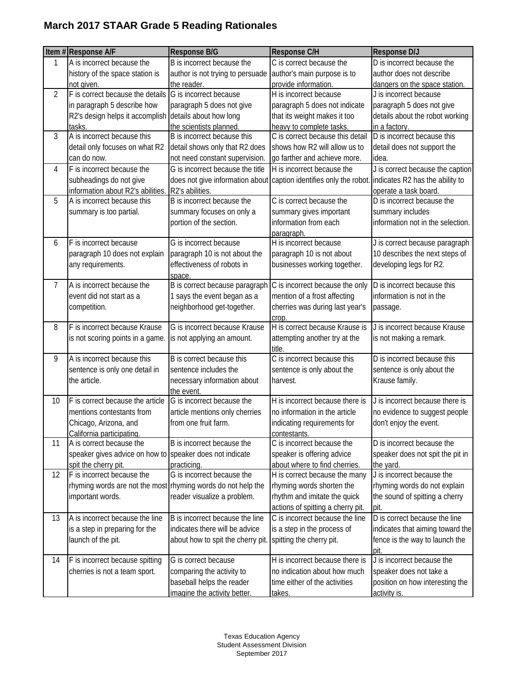## **March 2017 STAAR Grade 5 Reading Rationales**

|                | Item #Response A/F                                           | Response B/G                              | Response C/H                                                                                       | Response D/J                                 |
|----------------|--------------------------------------------------------------|-------------------------------------------|----------------------------------------------------------------------------------------------------|----------------------------------------------|
| 1              | A is incorrect because the                                   | B is incorrect because the                | C is correct because the                                                                           | D is incorrect because the                   |
|                | history of the space station is                              | author is not trying to persuade          | author's main purpose is to                                                                        | author does not describe                     |
|                | not given.                                                   | the reader.                               | provide information.                                                                               | dangers on the space station.                |
| $\overline{2}$ | F is correct because the details                             | G is incorrect because                    | H is incorrect because                                                                             | J is incorrect because                       |
|                | in paragraph 5 describe how                                  | paragraph 5 does not give                 | paragraph 5 does not indicate                                                                      | paragraph 5 does not give                    |
|                | R2's design helps it accomplish                              | details about how long                    | that its weight makes it too                                                                       | details about the robot working              |
|                | tasks.                                                       | the scientists planned.                   | heavy to complete tasks                                                                            | in a factory.                                |
| 3              | A is incorrect because this                                  | B is incorrect because this               | C is correct because this detail                                                                   | D is incorrect because this                  |
|                | detail only focuses on what R2                               | detail shows only that R2 does            | shows how R2 will allow us to                                                                      | detail does not support the                  |
|                | can do now.                                                  | not need constant supervision.            | go farther and achieve more.                                                                       | idea.                                        |
| 4              | F is incorrect because the                                   | G is incorrect because the title          | H is incorrect because the                                                                         | J is correct because the caption             |
|                | subheadings do not give                                      |                                           | does not give information about caption identifies only the robot. indicates R2 has the ability to |                                              |
|                | information about R2's abilities.                            | R2's abilities.                           |                                                                                                    | operate a task board.                        |
| 5              | A is incorrect because this                                  | B is incorrect because the                | C is correct because the                                                                           | D is incorrect because the                   |
|                | summary is too partial.                                      | summary focuses on only a                 | summary gives important                                                                            | summary includes                             |
|                |                                                              | portion of the section.                   | information from each                                                                              | information not in the selection.            |
|                |                                                              |                                           | paragraph.                                                                                         |                                              |
| 6              | F is incorrect because                                       | G is incorrect because                    | H is incorrect because                                                                             | J is correct because paragraph               |
|                | paragraph 10 does not explain                                | paragraph 10 is not about the             | paragraph 10 is not about                                                                          | 10 describes the next steps of               |
|                | any requirements.                                            | effectiveness of robots in                | businesses working together.                                                                       | developing legs for R2.                      |
|                |                                                              | space                                     |                                                                                                    |                                              |
| 7              | A is incorrect because the                                   | B is correct because paragraph            | C is incorrect because the only                                                                    | D is incorrect because this                  |
|                | event did not start as a                                     | 1 says the event began as a               | mention of a frost affecting                                                                       | information is not in the                    |
|                | competition.                                                 | neighborhood get-together.                | cherries was during last year's                                                                    | passage.                                     |
|                |                                                              |                                           | crop.                                                                                              |                                              |
| 8              | F is incorrect because Krause                                | G is incorrect because Krause             | H is correct because Krause is                                                                     | J is incorrect because Krause                |
|                | is not scoring points in a game.                             | is not applying an amount.                | attempting another try at the                                                                      | is not making a remark.                      |
| 9              | A is incorrect because this                                  | B is correct because this                 | title.<br>C is incorrect because this                                                              | D is incorrect because this                  |
|                |                                                              | sentence includes the                     |                                                                                                    |                                              |
|                | sentence is only one detail in<br>the article.               |                                           | sentence is only about the<br>harvest.                                                             | sentence is only about the<br>Krause family. |
|                |                                                              | necessary information about<br>the event. |                                                                                                    |                                              |
| 10             | F is correct because the article                             | G is incorrect because the                | H is incorrect because there is                                                                    | J is incorrect because there is              |
|                | mentions contestants from                                    | article mentions only cherries            | no information in the article                                                                      | no evidence to suggest people                |
|                | Chicago, Arizona, and                                        | from one fruit farm.                      | indicating requirements for                                                                        | don't enjoy the event.                       |
|                | California participating.                                    |                                           | contestants.                                                                                       |                                              |
| 11             | A is correct because the                                     | B is incorrect because the                | C is incorrect because the                                                                         | D is incorrect because the                   |
|                | speaker gives advice on how to speaker does not indicate     |                                           | speaker is offering advice                                                                         | speaker does not spit the pit in             |
|                | spit the cherry pit.                                         | practicing.                               | about where to find cherries.                                                                      | the yard.                                    |
| 12             | F is incorrect because the                                   | G is incorrect because the                | H is correct because the many                                                                      | J is incorrect because the                   |
|                | rhyming words are not the most rhyming words do not help the |                                           | rhyming words shorten the                                                                          | rhyming words do not explain                 |
|                | important words.                                             | reader visualize a problem.               | rhythm and imitate the quick                                                                       | the sound of spitting a cherry               |
|                |                                                              |                                           | actions of spitting a cherry pit.                                                                  | pit.                                         |
| 13             | A is incorrect because the line                              | B is incorrect because the line           | C is incorrect because the line                                                                    | D is correct because the line                |
|                | is a step in preparing for the                               | indicates there will be advice            | is a step in the process of                                                                        | indicates that aiming toward the             |
|                | launch of the pit.                                           | about how to spit the cherry pit.         | spitting the cherry pit.                                                                           | fence is the way to launch the               |
|                |                                                              |                                           |                                                                                                    | <u>pit.</u>                                  |
| 14             | F is incorrect because spitting                              | G is correct because                      | H is incorrect because there is                                                                    | J is incorrect because the                   |
|                | cherries is not a team sport.                                | comparing the activity to                 | no indication about how much                                                                       | speaker does not take a                      |
|                |                                                              | baseball helps the reader                 | time either of the activities                                                                      | position on how interesting the              |
|                |                                                              | imagine the activity better.              | takes.                                                                                             | activity is.                                 |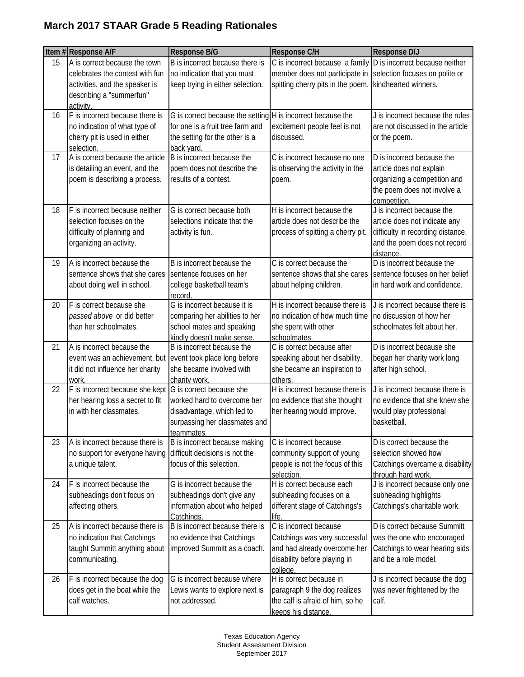## **March 2017 STAAR Grade 5 Reading Rationales**

|    | Item #Response A/F                                       | Response B/G                                                | Response C/H                                                   | <b>Response D/J</b>               |
|----|----------------------------------------------------------|-------------------------------------------------------------|----------------------------------------------------------------|-----------------------------------|
| 15 | A is correct because the town                            | B is incorrect because there is                             | C is incorrect because a family D is incorrect because neither |                                   |
|    | celebrates the contest with fun                          | no indication that you must                                 | member does not participate in                                 | selection focuses on polite or    |
|    | activities, and the speaker is                           | keep trying in either selection.                            | spitting cherry pits in the poem.                              | kindhearted winners.              |
|    | describing a "summerfun"                                 |                                                             |                                                                |                                   |
|    | activity.                                                |                                                             |                                                                |                                   |
| 16 | F is incorrect because there is                          | G is correct because the setting H is incorrect because the |                                                                | J is incorrect because the rules  |
|    | no indication of what type of                            | for one is a fruit tree farm and                            | excitement people feel is not                                  | are not discussed in the article  |
|    | cherry pit is used in either                             | the setting for the other is a                              | discussed.                                                     | or the poem.                      |
|    | selection.                                               | back yard.                                                  |                                                                |                                   |
| 17 | A is correct because the article                         | B is incorrect because the                                  | C is incorrect because no one                                  | D is incorrect because the        |
|    | is detailing an event, and the                           | poem does not describe the                                  | is observing the activity in the                               | article does not explain          |
|    | poem is describing a process.                            | results of a contest.                                       | poem.                                                          | organizing a competition and      |
|    |                                                          |                                                             |                                                                | the poem does not involve a       |
|    |                                                          |                                                             |                                                                | competition.                      |
| 18 | F is incorrect because neither                           | G is correct because both                                   | H is incorrect because the                                     | J is incorrect because the        |
|    | selection focuses on the                                 | selections indicate that the                                | article does not describe the                                  | article does not indicate any     |
|    | difficulty of planning and                               | activity is fun.                                            | process of spitting a cherry pit.                              | difficulty in recording distance, |
|    | organizing an activity.                                  |                                                             |                                                                | and the poem does not record      |
|    |                                                          |                                                             |                                                                | distance.                         |
| 19 | A is incorrect because the                               | B is incorrect because the                                  | C is correct because the                                       | D is incorrect because the        |
|    | sentence shows that she cares                            | sentence focuses on her                                     | sentence shows that she cares                                  | sentence focuses on her belief    |
|    | about doing well in school.                              | college basketball team's                                   | about helping children.                                        | in hard work and confidence.      |
|    |                                                          | record.                                                     |                                                                |                                   |
| 20 | F is correct because she                                 | G is incorrect because it is                                | H is incorrect because there is                                | J is incorrect because there is   |
|    | passed above or did better                               | comparing her abilities to her                              | no indication of how much time                                 | no discussion of how her          |
|    | than her schoolmates.                                    | school mates and speaking                                   | she spent with other                                           | schoolmates felt about her.       |
|    |                                                          | kindly doesn't make sense.                                  | schoolmates.                                                   |                                   |
| 21 | A is incorrect because the                               | B is incorrect because the                                  | C is correct because after                                     | D is incorrect because she        |
|    | event was an achievement, but                            | event took place long before                                | speaking about her disability,                                 | began her charity work long       |
|    | it did not influence her charity                         | she became involved with                                    | she became an inspiration to                                   | after high school.                |
|    | work.                                                    | charity work.                                               | others.                                                        |                                   |
| 22 | F is incorrect because she kept G is correct because she |                                                             | H is incorrect because there is                                | J is incorrect because there is   |
|    | her hearing loss a secret to fit                         | worked hard to overcome her                                 | no evidence that she thought                                   | no evidence that she knew she     |
|    | in with her classmates.                                  | disadvantage, which led to                                  | her hearing would improve.                                     | would play professional           |
|    |                                                          | surpassing her classmates and                               |                                                                | basketball.                       |
|    |                                                          | teammates.                                                  |                                                                |                                   |
| 23 | A is incorrect because there is                          | B is incorrect because making                               | C is incorrect because                                         | D is correct because the          |
|    | no support for everyone having                           | difficult decisions is not the                              | community support of young                                     | selection showed how              |
|    | a unique talent.                                         | focus of this selection.                                    | people is not the focus of this                                | Catchings overcame a disability   |
|    |                                                          |                                                             | selection.                                                     | through hard work.                |
| 24 | F is incorrect because the                               | G is incorrect because the                                  | H is correct because each                                      | J is incorrect because only one   |
|    | subheadings don't focus on                               | subheadings don't give any                                  | subheading focuses on a                                        | subheading highlights             |
|    | affecting others.                                        | information about who helped                                | different stage of Catchings's                                 | Catchings's charitable work.      |
|    |                                                          | Catchings.                                                  | life.                                                          |                                   |
| 25 | A is incorrect because there is                          | B is incorrect because there is                             | C is incorrect because                                         | D is correct because Summitt      |
|    | no indication that Catchings                             | no evidence that Catchings                                  | Catchings was very successful                                  | was the one who encouraged        |
|    | taught Summitt anything about                            | improved Summitt as a coach.                                | and had already overcome her                                   | Catchings to wear hearing aids    |
|    | communicating.                                           |                                                             | disability before playing in                                   | and be a role model.              |
|    |                                                          |                                                             | college.                                                       |                                   |
| 26 | F is incorrect because the dog                           | G is incorrect because where                                | H is correct because in                                        | J is incorrect because the dog    |
|    | does get in the boat while the                           | Lewis wants to explore next is                              | paragraph 9 the dog realizes                                   | was never frightened by the       |
|    | calf watches.                                            | not addressed.                                              | the calf is afraid of him, so he                               | calf.                             |
|    |                                                          |                                                             | keeps his distance.                                            |                                   |